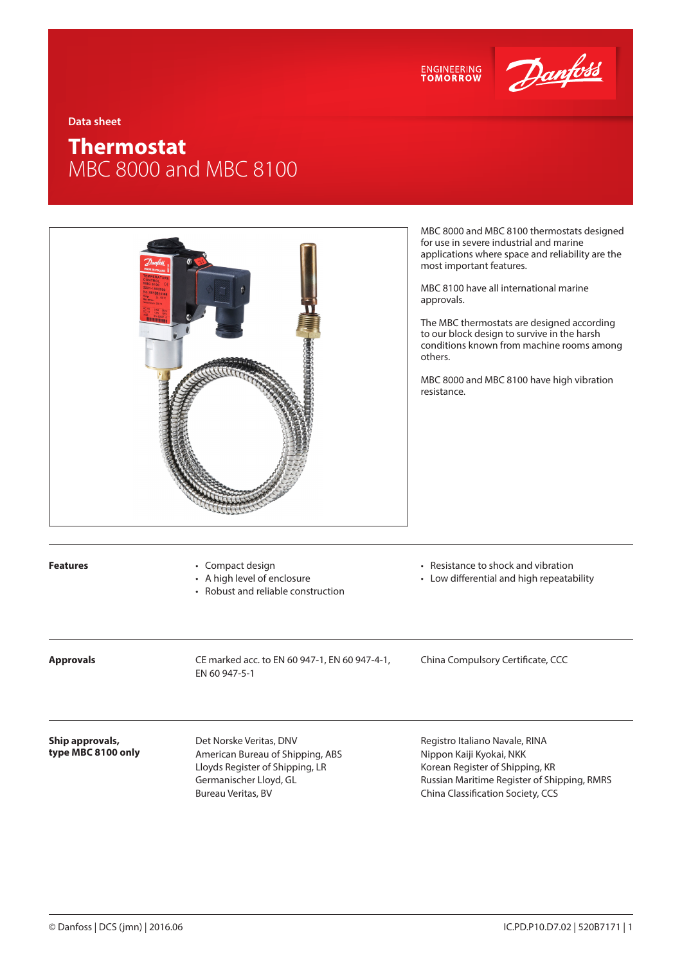



**Data sheet**

# **Thermostat** MBC 8000 and MBC 8100



MBC 8000 and MBC 8100 thermostats designed for use in severe industrial and marine applications where space and reliability are the most important features.

MBC 8100 have all international marine approvals.

The MBC thermostats are designed according to our block design to survive in the harsh conditions known from machine rooms among others.

MBC 8000 and MBC 8100 have high vibration resistance.

Features • Compact design

- A high level of enclosure
- Robust and reliable construction
- Resistance to shock and vibration
- Low differential and high repeatability

**Approvals** CE marked acc. to EN 60 947-1, EN 60 947-4-1, EN 60 947-5-1

China Compulsory Certificate, CCC

**Ship approvals, type MBC 8100 only** Det Norske Veritas, DNV American Bureau of Shipping, ABS Lloyds Register of Shipping, LR Germanischer Lloyd, GL Bureau Veritas, BV

Registro Italiano Navale, RINA Nippon Kaiji Kyokai, NKK Korean Register of Shipping, KR Russian Maritime Register of Shipping, RMRS China Classification Society, CCS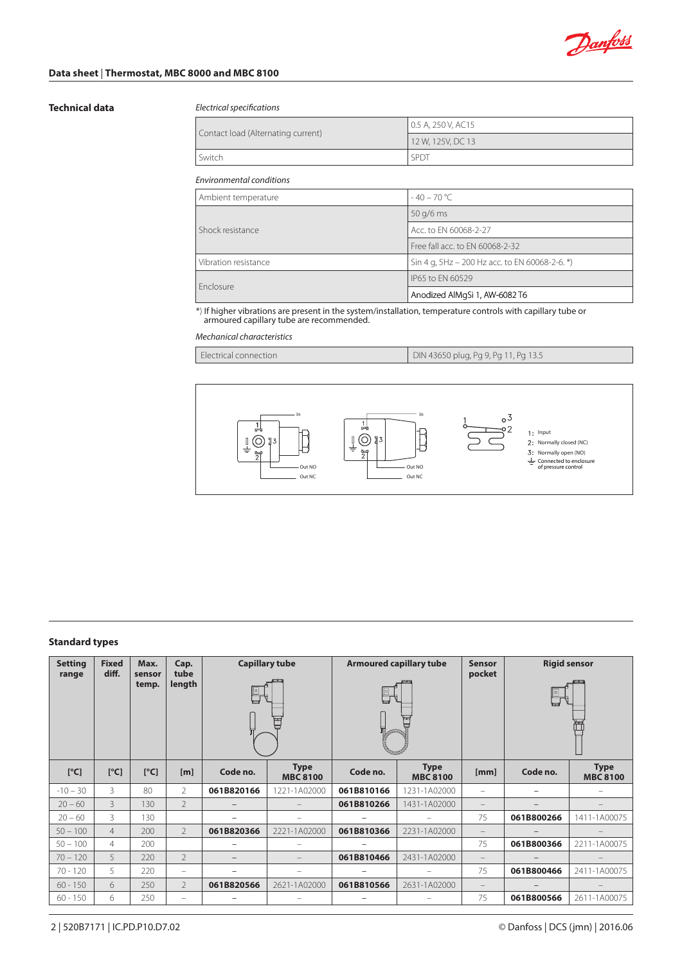

# **Data sheet** | **Thermostat, MBC 8000 and MBC 8100**

# **Technical data** *Electrical specifications*

| Contact load (Alternating current) | 0.5 A, 250 V, AC15 |
|------------------------------------|--------------------|
|                                    | 12 W, 125V, DC 13  |
| Switch                             | SP <sub>D</sub>    |

### *Umgebungsbedingungen Driftsbetingelser Environmental conditions*

| Ambient temperature  | $-40 - 70$ °C                                  |  |
|----------------------|------------------------------------------------|--|
|                      | $50$ g/6 ms                                    |  |
| Shock resistance     | Acc. to EN 60068-2-27                          |  |
|                      | Free fall acc. to EN 60068-2-32                |  |
| Vibration resistance | Sin 4 g, 5Hz - 200 Hz acc. to EN 60068-2-6. *) |  |
|                      | IP65 to EN 60529                               |  |
| <b>Enclosure</b>     | Anodized AlMgSi 1, AW-6082 T6                  |  |

\*) If higher vibrations are present in the system/installation, temperature controls with capillary tube or armoured capillary tube are recommended.

*Mechanical characteristics*

| Electrical connection | DIN 43650 plug, Pg 9, Pg 11, Pg 13.5 |
|-----------------------|--------------------------------------|
|-----------------------|--------------------------------------|



### **Standard types**

| <b>Setting</b><br>range | <b>Fixed</b><br>diff. | Max.<br>sensor | Cap.<br>tube      | <b>Capillary tube</b> |                                | <b>Armoured capillary tube</b> |                                | <b>Sensor</b><br>pocket  | <b>Rigid sensor</b> |                                |
|-------------------------|-----------------------|----------------|-------------------|-----------------------|--------------------------------|--------------------------------|--------------------------------|--------------------------|---------------------|--------------------------------|
|                         |                       | temp.          | length            | $\blacksquare$        | Ħ                              | <b>Communication</b>           |                                |                          | ▣<br><b>Provid</b>  |                                |
| [°C]                    | [°C]                  | [°C]           | [m]               | Code no.              | <b>Type</b><br><b>MBC 8100</b> | Code no.                       | <b>Type</b><br><b>MBC 8100</b> | [mm]                     | Code no.            | <b>Type</b><br><b>MBC 8100</b> |
| $-10 - 30$              | 3                     | 80             | $\overline{2}$    | 061B820166            | 1221-1A02000                   | 061B810166                     | 1231-1A02000                   | $\overline{\phantom{0}}$ | -                   |                                |
| $20 - 60$               | $\overline{3}$        | 130            | $\mathfrak{D}$    |                       |                                | 061B810266                     | 1431-1A02000                   | $-$                      |                     |                                |
| $20 - 60$               | 3                     | 130            |                   |                       |                                |                                |                                | 75                       | 061B800266          | 1411-1A00075                   |
| $50 - 100$              | $\overline{4}$        | 200            | $\mathcal{P}$     | 061B820366            | 2221-1A02000                   | 061B810366                     | 2231-1A02000                   | $\overline{\phantom{m}}$ | -                   |                                |
| $50 - 100$              | 4                     | 200            |                   |                       | $\overline{\phantom{0}}$       | $\overline{\phantom{0}}$       |                                | 75                       | 061B800366          | 2211-1A00075                   |
| $70 - 120$              | 5                     | 220            | $\overline{2}$    |                       |                                | 061B810466                     | 2431-1A02000                   | $\overline{\phantom{m}}$ |                     |                                |
| $70 - 120$              | 5                     | 220            | $\qquad \qquad =$ |                       |                                |                                | $\qquad \qquad =$              | 75                       | 061B800466          | 2411-1A00075                   |
| $60 - 150$              | 6                     | 250            | $\overline{2}$    | 061B820566            | 2621-1A02000                   | 061B810566                     | 2631-1A02000                   | $\overline{\phantom{m}}$ |                     |                                |
| $60 - 150$              | 6                     | 250            | $\qquad \qquad =$ |                       |                                | -                              | $\qquad \qquad =$              | 75                       | 061B800566          | 2611-1A00075                   |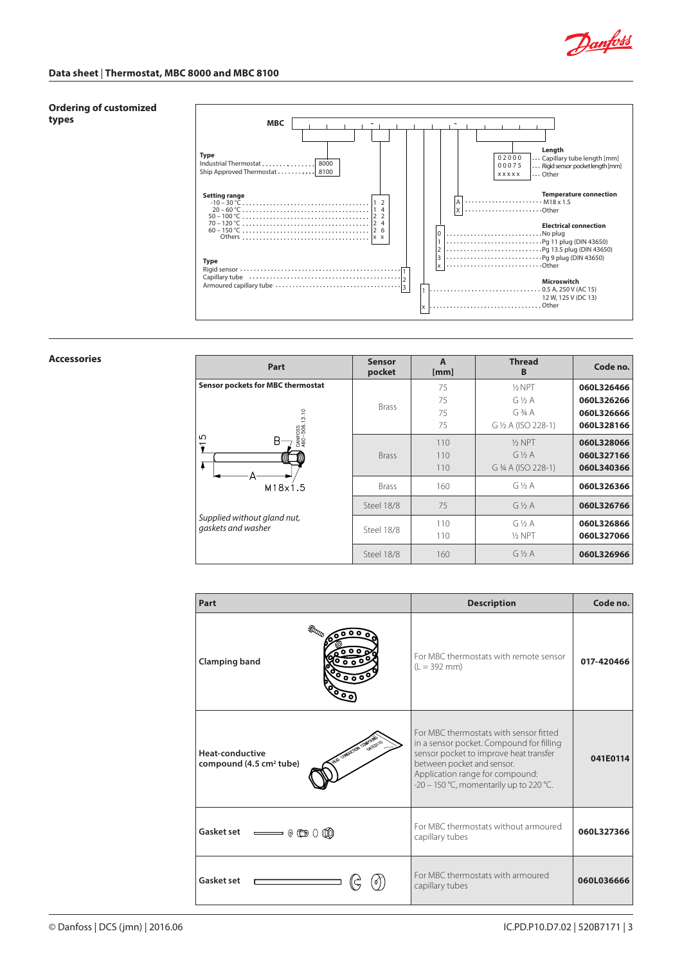

### **Ordering of customized types**



### **Accessories**

| Part                                              | <b>Sensor</b><br>pocket | $\mathbf{A}$<br>[mm] | <b>Thread</b><br>B                             | Code no.                               |
|---------------------------------------------------|-------------------------|----------------------|------------------------------------------------|----------------------------------------|
| <b>Sensor pockets for MBC thermostat</b>          |                         | 75                   | $1/2$ NPT                                      | 060L326466                             |
|                                                   | <b>Brass</b>            | 75                   | $G\beta A$                                     | 060L326266                             |
| $\frac{0}{2}$                                     |                         | 75                   | $G_34A$                                        | 060L326666                             |
| <b>OSS</b>                                        |                         | 75                   | G 1/2 A (ISO 228-1)                            | 060L328166                             |
| Ю<br>B<br><b>DAN</b><br>A60<br>Ŧ<br>Ŧ             | <b>Brass</b>            | 110<br>110<br>110    | $1/2$ NPT<br>$G\beta A$<br>G 3/4 A (ISO 228-1) | 060L328066<br>060L327166<br>060L340366 |
| M18x1.5                                           | <b>Brass</b>            | 160                  | $G\mathrel{V_2}A$                              | 060L326366                             |
|                                                   | Steel 18/8              | 75                   | $G\mathrel{V_2}A$                              | 060L326766                             |
| Supplied without gland nut,<br>gaskets and washer | Steel 18/8              | 110<br>110           | $G\beta A$<br>$1/2$ NPT                        | 060L326866<br>060L327066               |
|                                                   | Steel 18/8              | 160                  | $G\mathrel{V_2}A$                              | 060L326966                             |

| Part                                                                                    | <b>Description</b>                                                                                                                                                                                                                       | Code no.   |
|-----------------------------------------------------------------------------------------|------------------------------------------------------------------------------------------------------------------------------------------------------------------------------------------------------------------------------------------|------------|
| 0°,<br><b>Clamping band</b>                                                             | For MBC thermostats with remote sensor<br>$(L = 392$ mm)                                                                                                                                                                                 | 017-420466 |
| <b>ONIGHT</b><br>FOR OWNER OF<br>Heat-conductive<br>compound (4.5 cm <sup>2</sup> tube) | For MBC thermostats with sensor fitted<br>in a sensor pocket. Compound for filling<br>sensor pocket to improve heat transfer<br>between pocket and sensor.<br>Application range for compound:<br>-20 - 150 °C, momentarily up to 220 °C. | 041E0114   |
| Gasket set $\qquad \qquad \qquad \oplus \qquad \oplus \qquad \qquad \oplus$             | For MBC thermostats without armoured<br>capillary tubes                                                                                                                                                                                  | 060L327366 |
| Gasket set                                                                              | For MBC thermostats with armoured<br>capillary tubes                                                                                                                                                                                     | 060L036666 |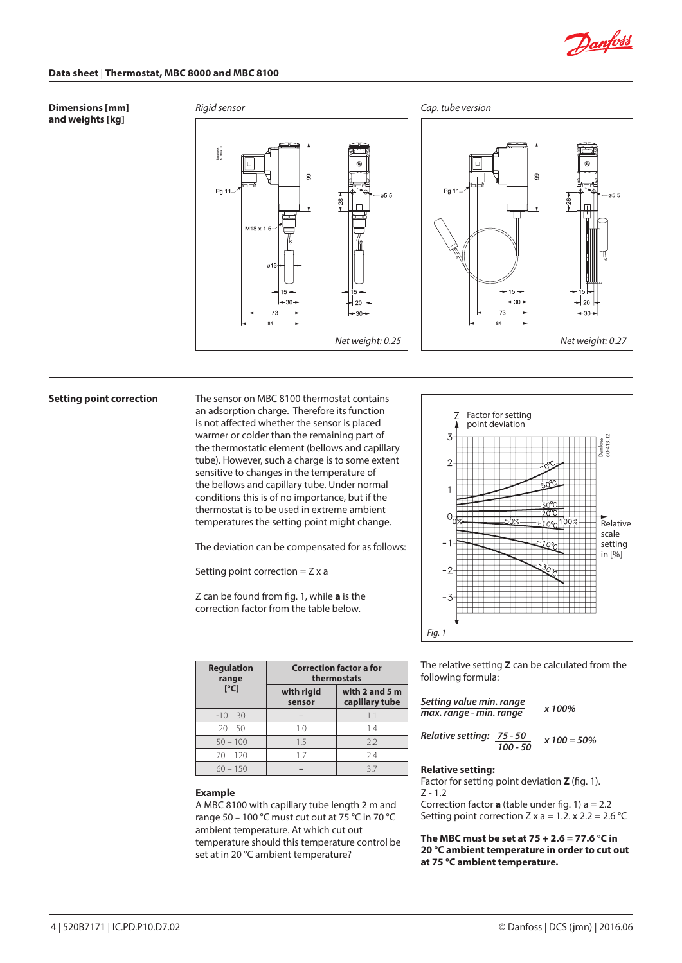

# **Data sheet** | **Thermostat, MBC 8000 and MBC 8100**

### **Dimensions [mm] and weights [kg]**

onfoss<br>1809.1





**Setting point correction** The sensor on MBC 8100 thermostat contains an adsorption charge. Therefore its function is not affected whether the sensor is placed warmer or colder than the remaining part of the thermostatic element (bellows and capillary tube). However, such a charge is to some extent sensitive to changes in the temperature of the bellows and capillary tube. Under normal conditions this is of no importance, but if the thermostat is to be used in extreme ambient temperatures the setting point might change.

The deviation can be compensated for as follows:

Setting point correction  $=$  Z  $\times$  a

Z can be found from fig. 1, while **a** is the correction factor from the table below.

| <b>Regulation</b><br>range | <b>Correction factor a for</b><br>thermostats |                                  |  |
|----------------------------|-----------------------------------------------|----------------------------------|--|
| [°C]                       | with rigid<br>sensor                          | with 2 and 5 m<br>capillary tube |  |
| $-10 - 30$                 |                                               | 1.1                              |  |
| $20 - 50$                  | 1.0                                           | 14                               |  |
| $50 - 100$                 | 1.5                                           | 2.2                              |  |
| $70 - 120$                 | 17                                            | 74                               |  |
| $60 - 150$                 |                                               | 37                               |  |

### **Example**

A MBC 8100 with capillary tube length 2 m and range 50 – 100 °C must cut out at 75 °C in 70 °C ambient temperature. At which cut out temperature should this temperature control be set at in 20 °C ambient temperature?



The relative setting **Z** can be calculated from the following formula:

| Setting value min. range                | x 100%        |  |
|-----------------------------------------|---------------|--|
| max. range - min. range                 |               |  |
| Relative setting: 75 - 50<br>$100 - 50$ | $x 100 = 50%$ |  |

### **Relative setting:**

Factor for setting point deviation **Z** (fig. 1).  $Z - 1.2$ 

Correction factor **a** (table under fig. 1) a = 2.2 Setting point correction  $Z \times a = 1.2$ .  $\times 2.2 = 2.6$  °C

**The MBC must be set at 75 + 2.6 = 77.6 °C in 20 °C ambient temperature in order to cut out at 75 °C ambient temperature.**